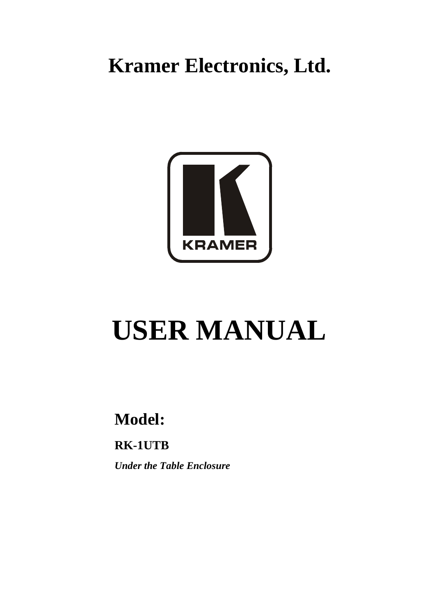# **Kramer Electronics, Ltd.**



# **USER MANUAL**

## **Model:**

**RK-1UTB**

*Under the Table Enclosure*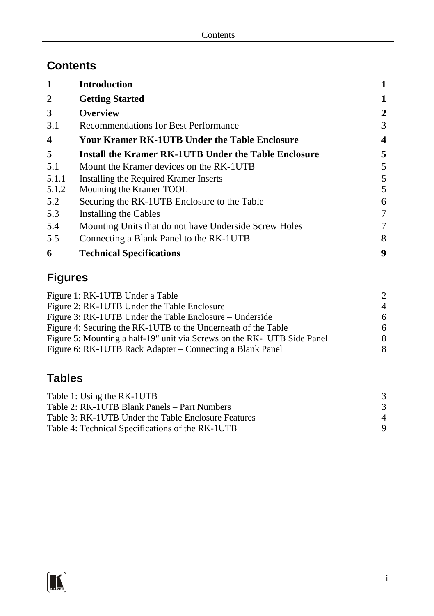## **Contents**

| 1            | <b>Introduction</b>                                   |   |
|--------------|-------------------------------------------------------|---|
| $\mathbf{2}$ | <b>Getting Started</b>                                | 1 |
| 3            | <b>Overview</b>                                       | 2 |
| 3.1          | <b>Recommendations for Best Performance</b>           | 3 |
| 4            | <b>Your Kramer RK-1UTB Under the Table Enclosure</b>  | 4 |
| 5            | Install the Kramer RK-1UTB Under the Table Enclosure  | 5 |
| 5.1          | Mount the Kramer devices on the RK-1UTB               | 5 |
| 5.1.1        | Installing the Required Kramer Inserts                | 5 |
| 5.1.2        | Mounting the Kramer TOOL                              | 5 |
| 5.2          | Securing the RK-1UTB Enclosure to the Table           | 6 |
| 5.3          | Installing the Cables                                 | 7 |
| 5.4          | Mounting Units that do not have Underside Screw Holes | 7 |
| 5.5          | Connecting a Blank Panel to the RK-1UTB               | 8 |
| 6            | <b>Technical Specifications</b>                       | 9 |

## **Figures**

| Figure 1: RK-1UTB Under a Table                                         | $\mathcal{D}$               |
|-------------------------------------------------------------------------|-----------------------------|
| Figure 2: RK-1UTB Under the Table Enclosure                             | $\boldsymbol{\vartriangle}$ |
| Figure 3: RK-1UTB Under the Table Enclosure – Underside                 | 6                           |
| Figure 4: Securing the RK-1UTB to the Underneath of the Table           | 6                           |
| Figure 5: Mounting a half-19" unit via Screws on the RK-1UTB Side Panel | 8                           |
| Figure 6: RK-1UTB Rack Adapter – Connecting a Blank Panel               | 8                           |

## **Tables**

| Table 1: Using the RK-1UTB                          |                        |
|-----------------------------------------------------|------------------------|
| Table 2: RK-1UTB Blank Panels – Part Numbers        |                        |
| Table 3: RK-1UTB Under the Table Enclosure Features | $\boldsymbol{\Lambda}$ |
| Table 4: Technical Specifications of the RK-1UTB    |                        |

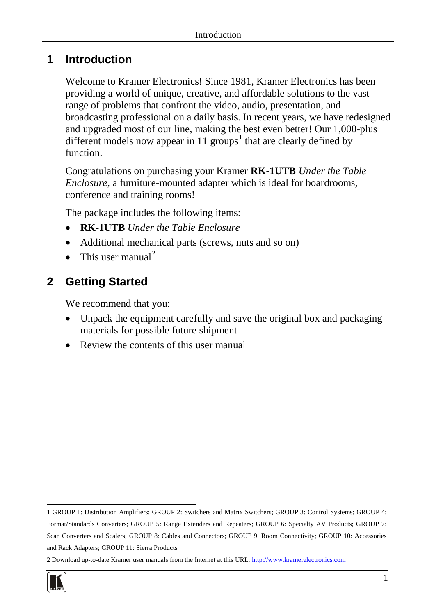#### <span id="page-2-0"></span>**1 Introduction**

Welcome to Kramer Electronics! Since 1981, Kramer Electronics has been providing a world of unique, creative, and affordable solutions to the vast range of problems that confront the video, audio, presentation, and broadcasting professional on a daily basis. In recent years, we have redesigned and upgraded most of our line, making the best even better! Our 1,000-plus different models now appear in [1](#page-2-2)1 groups<sup>1</sup> that are clearly defined by function.

Congratulations on purchasing your Kramer **RK-1UTB** *Under the Table Enclosure*, a furniture-mounted adapter which is ideal for boardrooms, conference and training rooms!

The package includes the following items:

- **RK-1UTB** *Under the Table Enclosure*
- Additional mechanical parts (screws, nuts and so on)
- This user manual<sup>[2](#page-2-3)</sup>

## <span id="page-2-1"></span>**2 Getting Started**

We recommend that you:

- Unpack the equipment carefully and save the original box and packaging materials for possible future shipment
- Review the contents of this user manual

<span id="page-2-3"></span><sup>2</sup> Download up-to-date Kramer user manuals from the Internet at this URL: http://www.kramerelectronics.com



<span id="page-2-2"></span><sup>1</sup> GROUP 1: Distribution Amplifiers; GROUP 2: Switchers and Matrix Switchers; GROUP 3: Control Systems; GROUP 4: Format/Standards Converters; GROUP 5: Range Extenders and Repeaters; GROUP 6: Specialty AV Products; GROUP 7: Scan Converters and Scalers; GROUP 8: Cables and Connectors; GROUP 9: Room Connectivity; GROUP 10: Accessories and Rack Adapters; GROUP 11: Sierra Products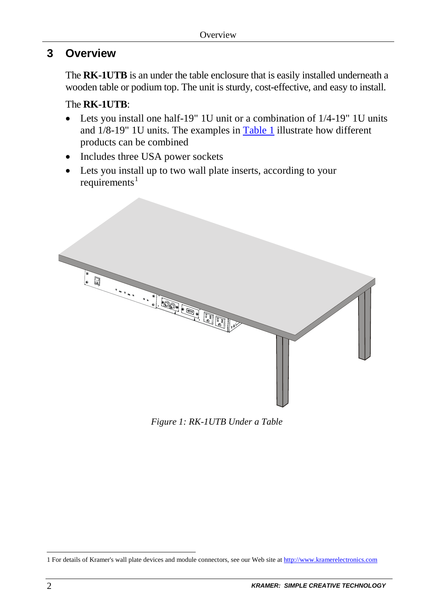## <span id="page-3-0"></span>**3 Overview**

The **RK-1UTB** is an under the table enclosure that is easily installed underneath a wooden table or podium top. The unit is sturdy, cost-effective, and easy to install.

#### The **RK-1UTB**:

- Lets you install one half-19" 1U unit or a combination of 1/4-19" 1U units and  $1/8-19$ " 1U units. The examples in  $Table 1$  illustrate how different products can be combined
- Includes three USA power sockets
- Lets you install up to two wall plate inserts, according to your  $requirements<sup>1</sup>$  $requirements<sup>1</sup>$  $requirements<sup>1</sup>$



*Figure 1: RK-1UTB Under a Table*

<span id="page-3-2"></span><span id="page-3-1"></span><sup>1</sup> For details of Kramer's wall plate devices and module connectors, see our Web site a[t http://www.kramerelectronics.com](http://www.kramerelectronics.com/)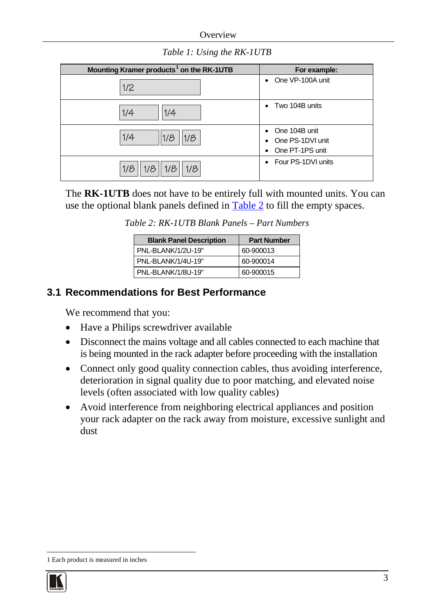**Overview** 

*Table 1: Using the RK-1UTB*

<span id="page-4-1"></span>

| Mounting Kramer products <sup>1</sup> on the RK-1UTB | For example:                                                          |
|------------------------------------------------------|-----------------------------------------------------------------------|
| 1/2                                                  | • One VP-100A unit                                                    |
| 1/4<br>1/4                                           | • Two 104B units                                                      |
| 1/4<br>1/8<br>1/8                                    | One 104B unit<br>$\bullet$<br>• One PS-1DVI unit<br>• One PT-1PS unit |
| 1/8<br>1/8<br>1/8<br>1/8                             | • Four PS-1DVI units                                                  |

<span id="page-4-2"></span>The **RK-1UTB** does not have to be entirely full with mounted units. You can use the optional blank panels defined i[n Table 2](#page-4-2) to fill the empty spaces.

| <b>Blank Panel Description</b> | <b>Part Number</b> |
|--------------------------------|--------------------|
| PNL-BLANK/1/2U-19"             | 60-900013          |
| PNI - RI ANK/1/4I J-19"        | 60-900014          |

PNL-BLANK/1/8U-19" 60-900015

*Table 2: RK-1UTB Blank Panels – Part Numbers*

#### <span id="page-4-0"></span>**3.1 Recommendations for Best Performance**

We recommend that you:

- Have a Philips screwdriver available
- Disconnect the mains voltage and all cables connected to each machine that is being mounted in the rack adapter before proceeding with the installation
- Connect only good quality connection cables, thus avoiding interference, deterioration in signal quality due to poor matching, and elevated noise levels (often associated with low quality cables)
- Avoid interference from neighboring electrical appliances and position your rack adapter on the rack away from moisture, excessive sunlight and dust

<span id="page-4-3"></span><sup>1</sup> Each product is measured in inches

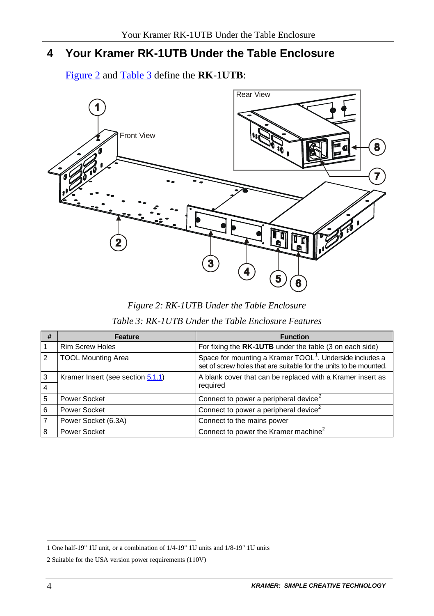## <span id="page-5-0"></span>**4 Your Kramer RK-1UTB Under the Table Enclosure**

[Figure 2](#page-5-1) and [Table 3](#page-5-2) define the **RK-1UTB**:



*Figure 2: RK-1UTB Under the Table Enclosure*

<span id="page-5-3"></span>

| Table 3: RK-1UTB Under the Table Enclosure Features |
|-----------------------------------------------------|
|                                                     |

<span id="page-5-2"></span><span id="page-5-1"></span>

| # | Feature                           | <b>Function</b>                                                                                                                           |
|---|-----------------------------------|-------------------------------------------------------------------------------------------------------------------------------------------|
|   | <b>Rim Screw Holes</b>            | For fixing the RK-1UTB under the table (3 on each side)                                                                                   |
| 2 | <b>TOOL Mounting Area</b>         | Space for mounting a Kramer TOOL <sup>1</sup> . Underside includes a<br>set of screw holes that are suitable for the units to be mounted. |
|   | Kramer Insert (see section 5.1.1) | A blank cover that can be replaced with a Kramer insert as                                                                                |
|   |                                   | required                                                                                                                                  |
| 5 | Power Socket                      | Connect to power a peripheral device <sup>2</sup>                                                                                         |
| 6 | Power Socket                      | Connect to power a peripheral device <sup>2</sup>                                                                                         |
|   | Power Socket (6.3A)               | Connect to the mains power                                                                                                                |
|   | Power Socket                      | Connect to power the Kramer machine <sup>2</sup>                                                                                          |

<span id="page-5-4"></span><sup>1</sup> One half-19" 1U unit, or a combination of 1/4-19" 1U units and 1/8-19" 1U units

<span id="page-5-5"></span><sup>2</sup> Suitable for the USA version power requirements (110V)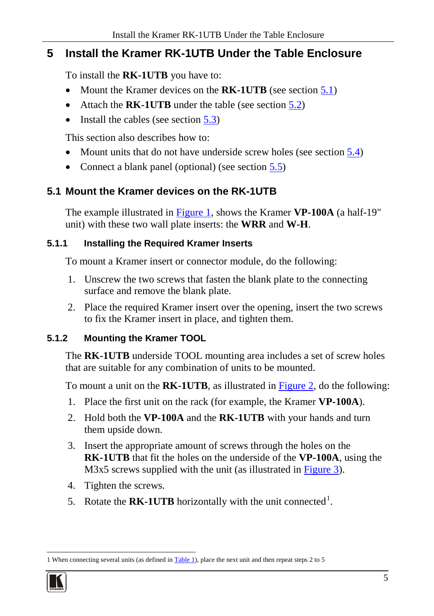## <span id="page-6-0"></span>**5 Install the Kramer RK-1UTB Under the Table Enclosure**

To install the **RK-1UTB** you have to:

- Mount the Kramer devices on the **RK-1UTB** (see section [5.1\)](#page-6-1)
- Attach the **RK-1UTB** under the table (see section [5.2\)](#page-7-0)
- Install the cables (see section  $5.3$ )

This section also describes how to:

- Mount units that do not have underside screw holes (see sectio[n 5.4\)](#page-8-1)
- Connect a blank panel (optional) (see sectio[n 5.5\)](#page-9-0)

## <span id="page-6-1"></span>**5.1 Mount the Kramer devices on the RK-1UTB**

The example illustrated in [Figure 1,](#page-3-1) shows the Kramer **VP-100A** (a half-19" unit) with these two wall plate inserts: the **WRR** and **W-H**.

#### <span id="page-6-2"></span>**5.1.1 Installing the Required Kramer Inserts**

To mount a Kramer insert or connector module, do the following:

- 1. Unscrew the two screws that fasten the blank plate to the connecting surface and remove the blank plate.
- 2. Place the required Kramer insert over the opening, insert the two screws to fix the Kramer insert in place, and tighten them.

#### <span id="page-6-3"></span>**5.1.2 Mounting the Kramer TOOL**

The **RK-1UTB** underside TOOL mounting area includes a set of screw holes that are suitable for any combination of units to be mounted.

To mount a unit on the **RK-1UTB**, as illustrated i[n Figure 2,](#page-5-1) do the following:

- 1. Place the first unit on the rack (for example, the Kramer **VP-100A**).
- 2. Hold both the **VP-100A** and the **RK-1UTB** with your hands and turn them upside down.
- 3. Insert the appropriate amount of screws through the holes on the **RK-1UTB** that fit the holes on the underside of the **VP-100A**, using the M3x5 screws supplied with the unit (as illustrated in [Figure 3\)](#page-7-1).
- 4. Tighten the screws.
- 5. Rotate the **RK-[1](#page-6-4)UTB** horizontally with the unit connected<sup>1</sup>.

<span id="page-6-4"></span>**<sup>1</sup>** When connecting several units (as defined in **Table 1)**, place the next unit and then repeat steps 2 to 5

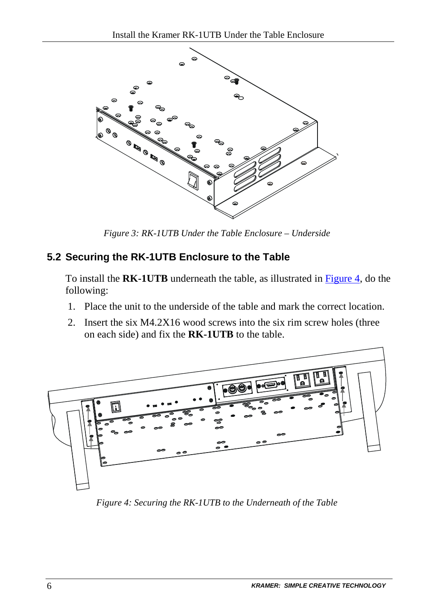

*Figure 3: RK-1UTB Under the Table Enclosure – Underside*

#### <span id="page-7-1"></span><span id="page-7-0"></span>**5.2 Securing the RK-1UTB Enclosure to the Table**

To install the **RK-1UTB** underneath the table, as illustrated i[n Figure 4,](#page-7-2) do the following:

- 1. Place the unit to the underside of the table and mark the correct location.
- 2. Insert the six M4.2X16 wood screws into the six rim screw holes (three on each side) and fix the **RK-1UTB** to the table.



<span id="page-7-2"></span>*Figure 4: Securing the RK-1UTB to the Underneath of the Table*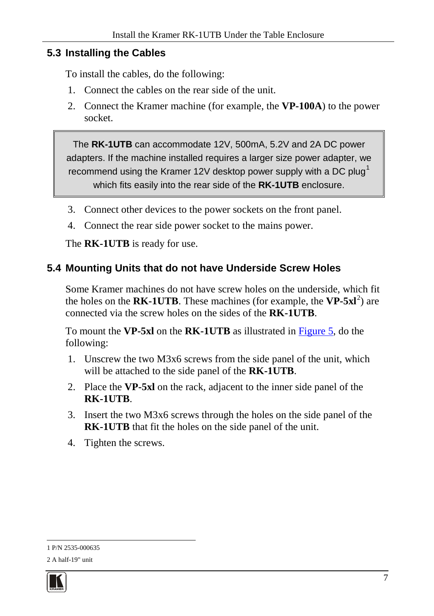#### <span id="page-8-0"></span>**5.3 Installing the Cables**

To install the cables, do the following:

- 1. Connect the cables on the rear side of the unit.
- 2. Connect the Kramer machine (for example, the **VP-100A**) to the power socket.

The **RK-1UTB** can accommodate 12V, 500mA, 5.2V and 2A DC power adapters. If the machine installed requires a larger size power adapter, we recommend using the Kramer [1](#page-8-2)2V desktop power supply with a DC plug<sup>1</sup> which fits easily into the rear side of the **RK-1UTB** enclosure.

- 3. Connect other devices to the power sockets on the front panel.
- 4. Connect the rear side power socket to the mains power.

The **RK-1UTB** is ready for use.

#### <span id="page-8-1"></span>**5.4 Mounting Units that do not have Underside Screw Holes**

Some Kramer machines do not have screw holes on the underside, which fit the holes on the  $RK-1UTE$ . These machines (for example, the  $VP-5x1^2$  $VP-5x1^2$ ) are connected via the screw holes on the sides of the **RK-1UTB**.

To mount the **VP-5xl** on the **RK-1UTB** as illustrated in [Figure 5,](#page-9-1) do the following:

- 1. Unscrew the two M3x6 screws from the side panel of the unit, which will be attached to the side panel of the **RK-1UTB**.
- 2. Place the **VP-5xl** on the rack, adjacent to the inner side panel of the **RK-1UTB**.
- 3. Insert the two M3x6 screws through the holes on the side panel of the **RK-1UTB** that fit the holes on the side panel of the unit.
- 4. Tighten the screws.

<span id="page-8-3"></span><span id="page-8-2"></span><sup>1</sup> P/N 2535-000635 2 A half-19" unit

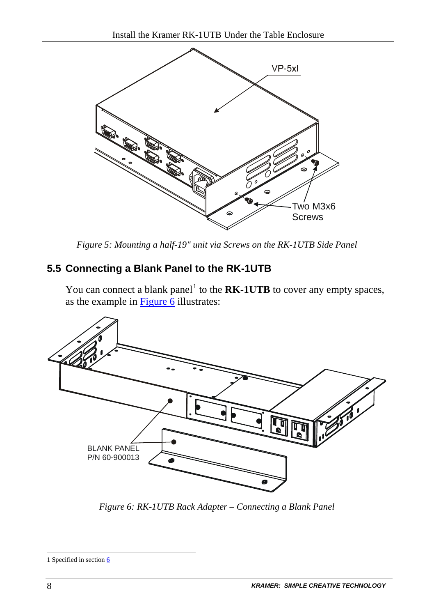

*Figure 5: Mounting a half-19" unit via Screws on the RK-1UTB Side Panel*

#### <span id="page-9-1"></span><span id="page-9-0"></span>**5.5 Connecting a Blank Panel to the RK-1UTB**

You can connect a blank panel<sup>[1](#page-9-3)</sup> to the  $RK-1UTE$  to cover any empty spaces, as the example i[n Figure 6](#page-9-2) illustrates:



<span id="page-9-2"></span>*Figure 6: RK-1UTB Rack Adapter – Connecting a Blank Panel*

<span id="page-9-3"></span>**<sup>1</sup>** Specified in section [6](#page-10-0)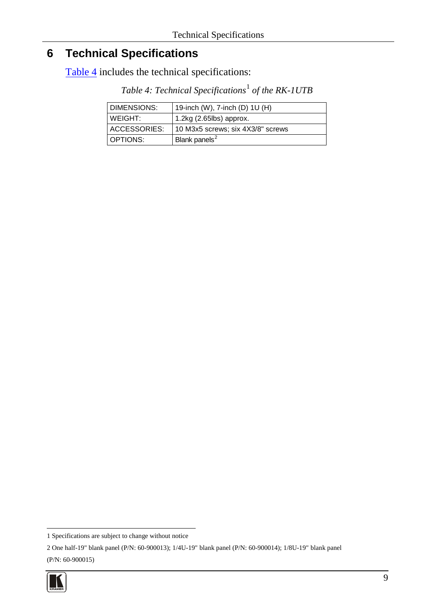## <span id="page-10-0"></span>**6 Technical Specifications**

<span id="page-10-1"></span>[Table 4](#page-10-1) includes the technical specifications:

| Table 4: Technical Specifications <sup>1</sup> of the RK-1UTB |  |
|---------------------------------------------------------------|--|
|---------------------------------------------------------------|--|

| <b>DIMENSIONS:</b> | 19-inch (W), 7-inch (D) 1U (H)    |
|--------------------|-----------------------------------|
| WEIGHT:            | $1.2$ kg (2.65lbs) approx.        |
| ACCESSORIES:       | 10 M3x5 screws; six 4X3/8" screws |
| <b>I OPTIONS:</b>  | Blank panels <sup>2</sup>         |

<span id="page-10-3"></span><sup>2</sup> One half-19" blank panel (P/N: 60-900013); 1/4U-19" blank panel (P/N: 60-900014); 1/8U-19" blank panel (P/N: 60-900015)



<span id="page-10-2"></span><sup>1</sup> Specifications are subject to change without notice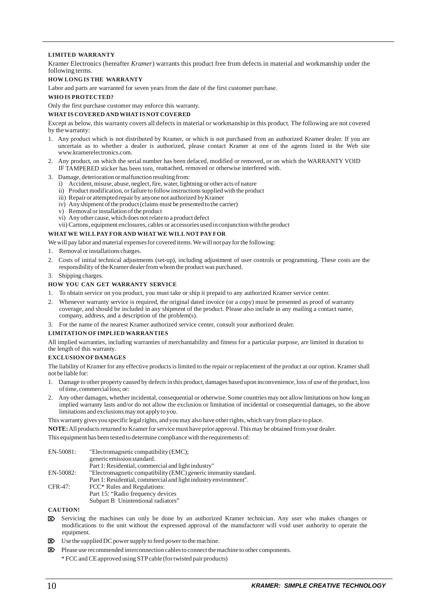#### **LIMITED WARRANTY**

Kramer Electronics (hereafter *Kramer*) warrants this product free from defects in material and workmanship under the following terms.

#### **HOW LONG IS THE WARRANTY**

Labor and parts are warranted for seven years from the date of the first customer purchase.

#### **WHO IS PROTECTED?**

Only the first purchase customer may enforce this warranty.

#### **WHAT IS COVERED AND WHAT IS NOT COVERED**

Except as below, this warranty covers all defects in material or workmanship in this product. The following are not covered by the warranty:

- 1. Any product which is not distributed by Kramer, or which is not purchased from an authorized Kramer dealer. If you are uncertain as to whether a dealer is authorized, please contact Kramer at one of the agents listed in the Web site www.kramerelectronics.com.
- 2. Any product, on which the serial number has been defaced, modified or removed, or on which the WARRANTY VOID IF TAMPERED sticker has been torn, reattached, removed or otherwise interfered with.
- 3. Damage, deterioration or malfunction resulting from:
	- i) Accident, misuse, abuse, neglect, fire, water, lightning or other acts of nature
	- ii) Product modification, or failure to follow instructions supplied with the product
	- iii) Repair or attempted repair by anyone not authorized by Kramer
	- iv) Any shipment of the product (claims must be presented to the carrier)
	- v) Removal or installation of the product
	- vi) Any other cause, which does not relate to a product defect
	- vii) Cartons, equipment enclosures, cables or accessories used in conjunction with the product

#### **WHAT WE WILL PAY FOR AND WHAT WE WILL NOT PAY FOR**

We will pay labor and material expenses for covered items. We will not pay for the following:

- 1. Removal or installations charges.
- 2. Costs of initial technical adjustments (set-up), including adjustment of user controls or programming. These costs are the responsibility of the Kramer dealer from whom the product was purchased.
- 3. Shipping charges.

#### **HOW YOU CAN GET WARRANTY SERVICE**

- 1. To obtain service on you product, you must take or ship it prepaid to any authorized Kramer service center.
- 2. Whenever warranty service is required, the original dated invoice (or a copy) must be presented as proof of warranty coverage, and should be included in any shipment of the product. Please also include in any mailing a contact name, company, address, and a description of the problem(s).
- 3. For the name of the nearest Kramer authorized service center, consult your authorized dealer.

#### **LIMITATION OF IMPLIED WARRANTIES**

All implied warranties, including warranties of merchantability and fitness for a particular purpose, are limited in duration to the length of this warranty.

#### **EXCLUSION OF DAMAGES**

The liability of Kramer for any effective products is limited to the repair or replacement of the product at our option. Kramer shall not be liable for:

- 1. Damage to other property caused by defects in this product, damages based upon inconvenience, loss of use of the product, loss of time, commercial loss; or:
- 2. Any other damages, whether incidental, consequential or otherwise. Some countries may not allow limitations on how long an implied warranty lasts and/or do not allow the exclusion or limitation of incidental or consequential damages, so the above limitations and exclusions may not apply to you.

This warranty gives you specific legal rights, and you may also have other rights, which vary from place to place.

All products returned to Kramer for service must have prior approval. This may be obtained from your dealer. **NOTE:**

This equipment has been tested to determine compliance with the requirements of:

| EN-50081: | "Electromagnetic compatibility (EMC);                            |
|-----------|------------------------------------------------------------------|
|           | generic emission standard.                                       |
|           | Part 1: Residential, commercial and light industry"              |
| EN-50082: | "Electromagnetic compatibility (EMC) generic immunity standard.  |
|           | Part 1: Residential, commercial and light industry environment". |
| CFR-47:   | FCC* Rules and Regulations:                                      |
|           | Part 15: "Radio frequency devices                                |
|           | Subpart B Unintentional radiators"                               |

#### **CAUTION!**

- Servicing the machines can only be done by an authorized Kramer technician. Any user who makes changes or modifications to the unit without the expressed approval of the manufacturer will void user authority to operate the equipment.
- Use the supplied DC power supply to feed power to the machine.
- Please use recommended interconnection cables to connect the machine to other components.
	- \* FCC and CE approved using STP cable (for twisted pair products)